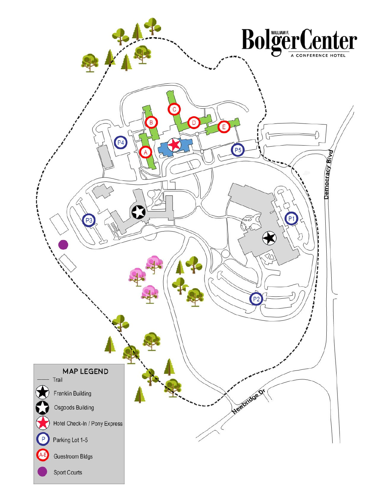